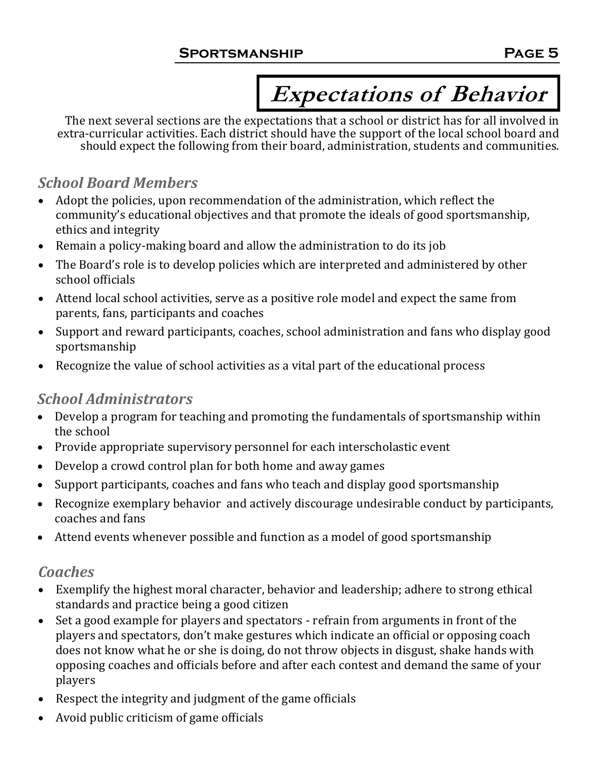# **Expectations of Behavior**

The next several sections are the expectations that a school or district has for all involved in extra-curricular activities. Each district should have the support of the local school board and should expect the following from their board, administration, students and communities.

### *School Board Members*

- Adopt the policies, upon recommendation of the administration, which reflect the community's educational objectives and that promote the ideals of good sportsmanship, ethics and integrity
- Remain a policy-making board and allow the administration to do its job
- The Board's role is to develop policies which are interpreted and administered by other school officials
- Attend local school activities, serve as a positive role model and expect the same from parents, fans, participants and coaches
- Support and reward participants, coaches, school administration and fans who display good sportsmanship
- Recognize the value of school activities as a vital part of the educational process

### *School Administrators*

- Develop a program for teaching and promoting the fundamentals of sportsmanship within the school
- Provide appropriate supervisory personnel for each interscholastic event
- Develop a crowd control plan for both home and away games
- Support participants, coaches and fans who teach and display good sportsmanship
- Recognize exemplary behavior and actively discourage undesirable conduct by participants, coaches and fans
- Attend events whenever possible and function as a model of good sportsmanship

### *Coaches*

- Exemplify the highest moral character, behavior and leadership; adhere to strong ethical standards and practice being a good citizen
- Set a good example for players and spectators refrain from arguments in front of the players and spectators, don't make gestures which indicate an official or opposing coach does not know what he or she is doing, do not throw objects in disgust, shake hands with opposing coaches and officials before and after each contest and demand the same of your players
- Respect the integrity and judgment of the game officials
- Avoid public criticism of game officials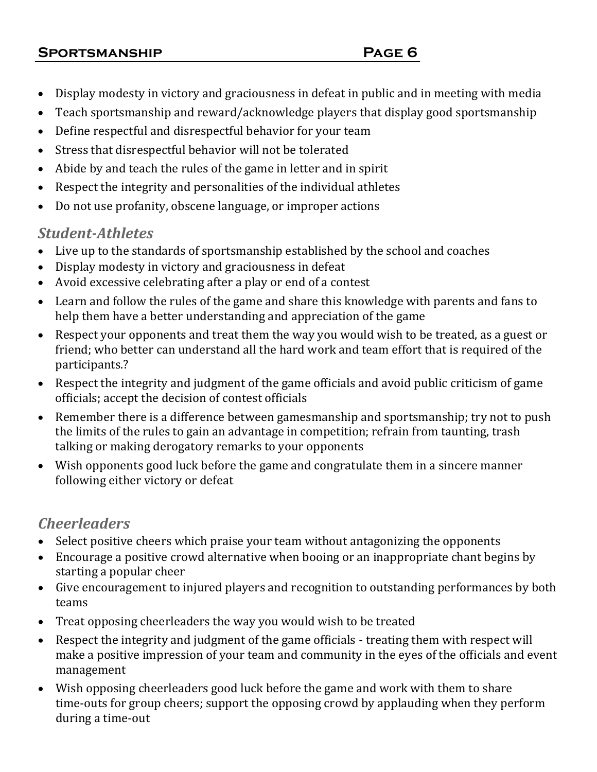#### **Sportsmanship Page 6**

- Display modesty in victory and graciousness in defeat in public and in meeting with media
- Teach sportsmanship and reward/acknowledge players that display good sportsmanship
- Define respectful and disrespectful behavior for your team
- Stress that disrespectful behavior will not be tolerated
- Abide by and teach the rules of the game in letter and in spirit
- Respect the integrity and personalities of the individual athletes
- Do not use profanity, obscene language, or improper actions

#### *Student-Athletes*

- Live up to the standards of sportsmanship established by the school and coaches
- Display modesty in victory and graciousness in defeat
- Avoid excessive celebrating after a play or end of a contest
- Learn and follow the rules of the game and share this knowledge with parents and fans to help them have a better understanding and appreciation of the game
- Respect your opponents and treat them the way you would wish to be treated, as a guest or friend; who better can understand all the hard work and team effort that is required of the participants.?
- Respect the integrity and judgment of the game officials and avoid public criticism of game officials; accept the decision of contest officials
- Remember there is a difference between gamesmanship and sportsmanship; try not to push the limits of the rules to gain an advantage in competition; refrain from taunting, trash talking or making derogatory remarks to your opponents
- Wish opponents good luck before the game and congratulate them in a sincere manner following either victory or defeat

### *Cheerleaders*

- Select positive cheers which praise your team without antagonizing the opponents
- Encourage a positive crowd alternative when booing or an inappropriate chant begins by starting a popular cheer
- Give encouragement to injured players and recognition to outstanding performances by both teams
- Treat opposing cheerleaders the way you would wish to be treated
- Respect the integrity and judgment of the game officials treating them with respect will make a positive impression of your team and community in the eyes of the officials and event management
- Wish opposing cheerleaders good luck before the game and work with them to share time-outs for group cheers; support the opposing crowd by applauding when they perform during a time-out